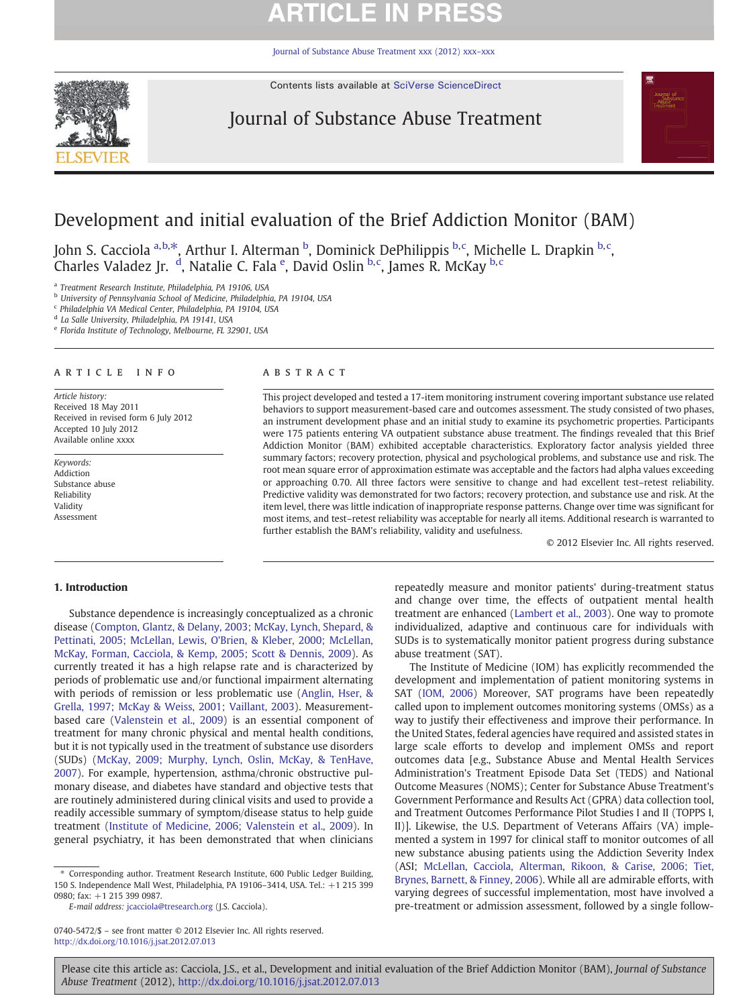# **ARTICLE IN PRESS**

[Journal of Substance Abuse Treatment xxx \(2012\) xxx](http://dx.doi.org/10.1016/j.jsat.2012.07.013)–xxx

Contents lists available at [SciVerse ScienceDirect](http://www.sciencedirect.com/science/journal/07405472)

## Journal of Substance Abuse Treatment



## Development and initial evaluation of the Brief Addiction Monitor (BAM)

John S. Cacciola <sup>a,b,\*</sup>, Arthur I. Alterman <sup>b</sup>, Dominick DePhilippis <sup>b,c</sup>, Michelle L. Drapkin <sup>b,c</sup>, Charles Valadez Jr. <sup>d</sup>, Natalie C. Fala <sup>e</sup>, David Oslin <sup>b,c</sup>, James R. McKay <sup>b,c</sup>

<sup>a</sup> Treatment Research Institute, Philadelphia, PA 19106, USA

<sup>b</sup> University of Pennsylvania School of Medicine, Philadelphia, PA 19104, USA

<sup>c</sup> Philadelphia VA Medical Center, Philadelphia, PA 19104, USA

<sup>d</sup> La Salle University, Philadelphia, PA 19141, USA

<sup>e</sup> Florida Institute of Technology, Melbourne, FL 32901, USA

### article info abstract

Article history: Received 18 May 2011 Received in revised form 6 July 2012 Accepted 10 July 2012 Available online xxxx

Keywords: Addiction Substance abuse Reliability Validity Assessment

This project developed and tested a 17-item monitoring instrument covering important substance use related behaviors to support measurement-based care and outcomes assessment. The study consisted of two phases, an instrument development phase and an initial study to examine its psychometric properties. Participants were 175 patients entering VA outpatient substance abuse treatment. The findings revealed that this Brief Addiction Monitor (BAM) exhibited acceptable characteristics. Exploratory factor analysis yielded three summary factors; recovery protection, physical and psychological problems, and substance use and risk. The root mean square error of approximation estimate was acceptable and the factors had alpha values exceeding or approaching 0.70. All three factors were sensitive to change and had excellent test–retest reliability. Predictive validity was demonstrated for two factors; recovery protection, and substance use and risk. At the item level, there was little indication of inappropriate response patterns. Change over time was significant for most items, and test–retest reliability was acceptable for nearly all items. Additional research is warranted to further establish the BAM's reliability, validity and usefulness.

© 2012 Elsevier Inc. All rights reserved.

### 1. Introduction

Substance dependence is increasingly conceptualized as a chronic disease ([Compton, Glantz, & Delany, 2003; McKay, Lynch, Shepard, &](#page-6-0) [Pettinati, 2005; McLellan, Lewis, O'Brien, & Kleber, 2000; McLellan,](#page-6-0) [McKay, Forman, Cacciola, & Kemp, 2005; Scott & Dennis, 2009](#page-6-0)). As currently treated it has a high relapse rate and is characterized by periods of problematic use and/or functional impairment alternating with periods of remission or less problematic use [\(Anglin, Hser, &](#page-6-0) [Grella, 1997; McKay & Weiss, 2001; Vaillant, 2003\)](#page-6-0). Measurementbased care [\(Valenstein et al., 2009\)](#page-7-0) is an essential component of treatment for many chronic physical and mental health conditions, but it is not typically used in the treatment of substance use disorders (SUDs) [\(McKay, 2009; Murphy, Lynch, Oslin, McKay, & TenHave,](#page-6-0) [2007\)](#page-6-0). For example, hypertension, asthma/chronic obstructive pulmonary disease, and diabetes have standard and objective tests that are routinely administered during clinical visits and used to provide a readily accessible summary of symptom/disease status to help guide treatment ([Institute of Medicine, 2006; Valenstein et al., 2009\)](#page-6-0). In general psychiatry, it has been demonstrated that when clinicians

E-mail address: [jcacciola@tresearch.org](mailto:jcacciola@tresearch.org) (J.S. Cacciola).

repeatedly measure and monitor patients' during-treatment status and change over time, the effects of outpatient mental health treatment are enhanced ([Lambert et al., 2003\)](#page-6-0). One way to promote individualized, adaptive and continuous care for individuals with SUDs is to systematically monitor patient progress during substance abuse treatment (SAT).

The Institute of Medicine (IOM) has explicitly recommended the development and implementation of patient monitoring systems in SAT [\(IOM, 2006](#page-6-0)) Moreover, SAT programs have been repeatedly called upon to implement outcomes monitoring systems (OMSs) as a way to justify their effectiveness and improve their performance. In the United States, federal agencies have required and assisted states in large scale efforts to develop and implement OMSs and report outcomes data [e.g., Substance Abuse and Mental Health Services Administration's Treatment Episode Data Set (TEDS) and National Outcome Measures (NOMS); Center for Substance Abuse Treatment's Government Performance and Results Act (GPRA) data collection tool, and Treatment Outcomes Performance Pilot Studies I and II (TOPPS I, II)]. Likewise, the U.S. Department of Veterans Affairs (VA) implemented a system in 1997 for clinical staff to monitor outcomes of all new substance abusing patients using the Addiction Severity Index (ASI; [McLellan, Cacciola, Alterman, Rikoon, & Carise, 2006; Tiet,](#page-7-0) [Brynes, Barnett, & Finney, 2006](#page-7-0)). While all are admirable efforts, with varying degrees of successful implementation, most have involved a pre-treatment or admission assessment, followed by a single follow-

<sup>⁎</sup> Corresponding author. Treatment Research Institute, 600 Public Ledger Building, 150 S. Independence Mall West, Philadelphia, PA 19106–3414, USA. Tel.: +1 215 399 0980; fax: +1 215 399 0987.

<sup>0740-5472/\$</sup> – see front matter © 2012 Elsevier Inc. All rights reserved. <http://dx.doi.org/10.1016/j.jsat.2012.07.013>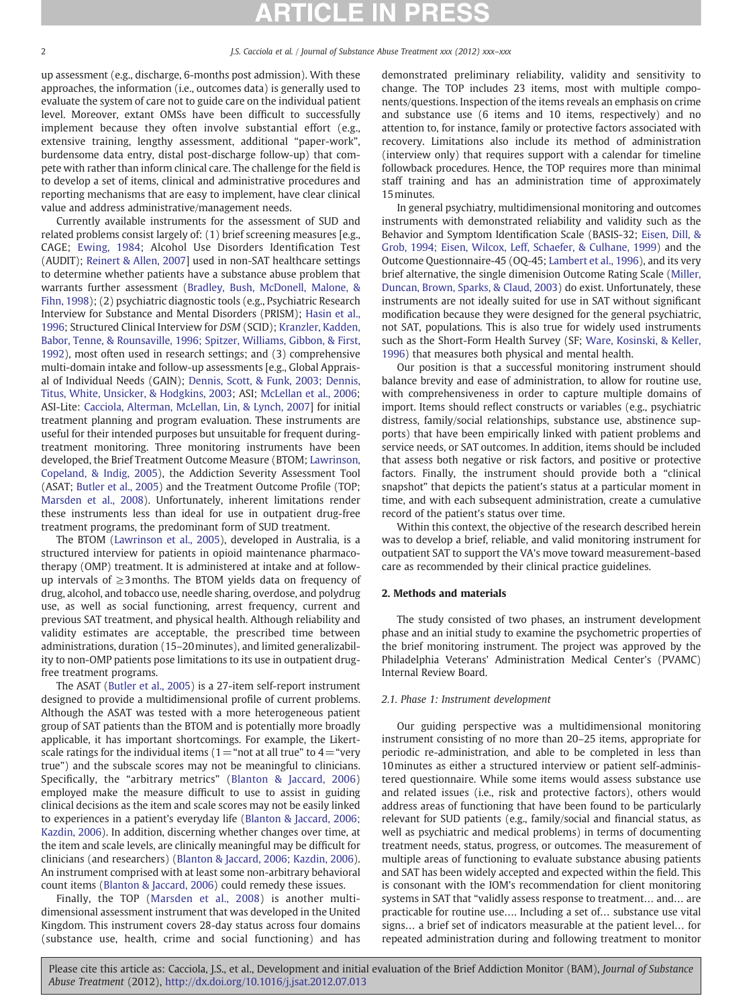up assessment (e.g., discharge, 6-months post admission). With these approaches, the information (i.e., outcomes data) is generally used to evaluate the system of care not to guide care on the individual patient level. Moreover, extant OMSs have been difficult to successfully implement because they often involve substantial effort (e.g., extensive training, lengthy assessment, additional "paper-work", burdensome data entry, distal post-discharge follow-up) that compete with rather than inform clinical care. The challenge for the field is to develop a set of items, clinical and administrative procedures and reporting mechanisms that are easy to implement, have clear clinical value and address administrative/management needs.

Currently available instruments for the assessment of SUD and related problems consist largely of: (1) brief screening measures [e.g., CAGE; [Ewing, 1984;](#page-6-0) Alcohol Use Disorders Identification Test (AUDIT); [Reinert & Allen, 2007](#page-7-0)] used in non-SAT healthcare settings to determine whether patients have a substance abuse problem that warrants further assessment [\(Bradley, Bush, McDonell, Malone, &](#page-6-0) [Fihn, 1998](#page-6-0)); (2) psychiatric diagnostic tools (e.g., Psychiatric Research Interview for Substance and Mental Disorders (PRISM); [Hasin et al.,](#page-6-0) [1996;](#page-6-0) Structured Clinical Interview for DSM (SCID); [Kranzler, Kadden,](#page-6-0) [Babor, Tenne, & Rounsaville, 1996; Spitzer, Williams, Gibbon, & First,](#page-6-0) [1992\)](#page-6-0), most often used in research settings; and (3) comprehensive multi-domain intake and follow-up assessments [e.g., Global Appraisal of Individual Needs (GAIN); [Dennis, Scott, & Funk, 2003; Dennis,](#page-6-0) [Titus, White, Unsicker, & Hodgkins, 2003;](#page-6-0) ASI; [McLellan et al., 2006;](#page-7-0) ASI-Lite: [Cacciola, Alterman, McLellan, Lin, & Lynch, 2007\]](#page-6-0) for initial treatment planning and program evaluation. These instruments are useful for their intended purposes but unsuitable for frequent duringtreatment monitoring. Three monitoring instruments have been developed, the Brief Treatment Outcome Measure (BTOM; [Lawrinson,](#page-6-0) [Copeland, & Indig, 2005](#page-6-0)), the Addiction Severity Assessment Tool (ASAT; [Butler et al., 2005\)](#page-6-0) and the Treatment Outcome Profile (TOP; [Marsden et al., 2008\)](#page-6-0). Unfortunately, inherent limitations render these instruments less than ideal for use in outpatient drug-free treatment programs, the predominant form of SUD treatment.

The BTOM ([Lawrinson et al., 2005\)](#page-6-0), developed in Australia, is a structured interview for patients in opioid maintenance pharmacotherapy (OMP) treatment. It is administered at intake and at followup intervals of ≥3months. The BTOM yields data on frequency of drug, alcohol, and tobacco use, needle sharing, overdose, and polydrug use, as well as social functioning, arrest frequency, current and previous SAT treatment, and physical health. Although reliability and validity estimates are acceptable, the prescribed time between administrations, duration (15–20minutes), and limited generalizability to non-OMP patients pose limitations to its use in outpatient drugfree treatment programs.

The ASAT [\(Butler et al., 2005\)](#page-6-0) is a 27-item self-report instrument designed to provide a multidimensional profile of current problems. Although the ASAT was tested with a more heterogeneous patient group of SAT patients than the BTOM and is potentially more broadly applicable, it has important shortcomings. For example, the Likertscale ratings for the individual items ( $1=$  "not at all true" to  $4=$  "very true") and the subscale scores may not be meaningful to clinicians. Specifically, the "arbitrary metrics" ([Blanton & Jaccard, 2006](#page-6-0)) employed make the measure difficult to use to assist in guiding clinical decisions as the item and scale scores may not be easily linked to experiences in a patient's everyday life ([Blanton & Jaccard, 2006;](#page-6-0) [Kazdin, 2006\)](#page-6-0). In addition, discerning whether changes over time, at the item and scale levels, are clinically meaningful may be difficult for clinicians (and researchers) [\(Blanton & Jaccard, 2006; Kazdin, 2006](#page-6-0)). An instrument comprised with at least some non-arbitrary behavioral count items ([Blanton & Jaccard, 2006](#page-6-0)) could remedy these issues.

Finally, the TOP ([Marsden et al., 2008\)](#page-6-0) is another multidimensional assessment instrument that was developed in the United Kingdom. This instrument covers 28-day status across four domains (substance use, health, crime and social functioning) and has demonstrated preliminary reliability, validity and sensitivity to change. The TOP includes 23 items, most with multiple components/questions. Inspection of the items reveals an emphasis on crime and substance use (6 items and 10 items, respectively) and no attention to, for instance, family or protective factors associated with recovery. Limitations also include its method of administration (interview only) that requires support with a calendar for timeline followback procedures. Hence, the TOP requires more than minimal staff training and has an administration time of approximately 15minutes.

In general psychiatry, multidimensional monitoring and outcomes instruments with demonstrated reliability and validity such as the Behavior and Symptom Identification Scale (BASIS-32; [Eisen, Dill, &](#page-6-0) [Grob, 1994; Eisen, Wilcox, Leff, Schaefer, & Culhane, 1999](#page-6-0)) and the Outcome Questionnaire-45 (OQ-45; [Lambert et al., 1996\)](#page-6-0), and its very brief alternative, the single dimenision Outcome Rating Scale ([Miller,](#page-7-0) [Duncan, Brown, Sparks, & Claud, 2003\)](#page-7-0) do exist. Unfortunately, these instruments are not ideally suited for use in SAT without significant modification because they were designed for the general psychiatric, not SAT, populations. This is also true for widely used instruments such as the Short-Form Health Survey (SF; [Ware, Kosinski, & Keller,](#page-7-0) [1996\)](#page-7-0) that measures both physical and mental health.

Our position is that a successful monitoring instrument should balance brevity and ease of administration, to allow for routine use, with comprehensiveness in order to capture multiple domains of import. Items should reflect constructs or variables (e.g., psychiatric distress, family/social relationships, substance use, abstinence supports) that have been empirically linked with patient problems and service needs, or SAT outcomes. In addition, items should be included that assess both negative or risk factors, and positive or protective factors. Finally, the instrument should provide both a "clinical snapshot" that depicts the patient's status at a particular moment in time, and with each subsequent administration, create a cumulative record of the patient's status over time.

Within this context, the objective of the research described herein was to develop a brief, reliable, and valid monitoring instrument for outpatient SAT to support the VA's move toward measurement-based care as recommended by their clinical practice guidelines.

### 2. Methods and materials

The study consisted of two phases, an instrument development phase and an initial study to examine the psychometric properties of the brief monitoring instrument. The project was approved by the Philadelphia Veterans' Administration Medical Center's (PVAMC) Internal Review Board.

### 2.1. Phase 1: Instrument development

Our guiding perspective was a multidimensional monitoring instrument consisting of no more than 20–25 items, appropriate for periodic re-administration, and able to be completed in less than 10minutes as either a structured interview or patient self-administered questionnaire. While some items would assess substance use and related issues (i.e., risk and protective factors), others would address areas of functioning that have been found to be particularly relevant for SUD patients (e.g., family/social and financial status, as well as psychiatric and medical problems) in terms of documenting treatment needs, status, progress, or outcomes. The measurement of multiple areas of functioning to evaluate substance abusing patients and SAT has been widely accepted and expected within the field. This is consonant with the IOM's recommendation for client monitoring systems in SAT that "validly assess response to treatment… and… are practicable for routine use…. Including a set of… substance use vital signs… a brief set of indicators measurable at the patient level… for repeated administration during and following treatment to monitor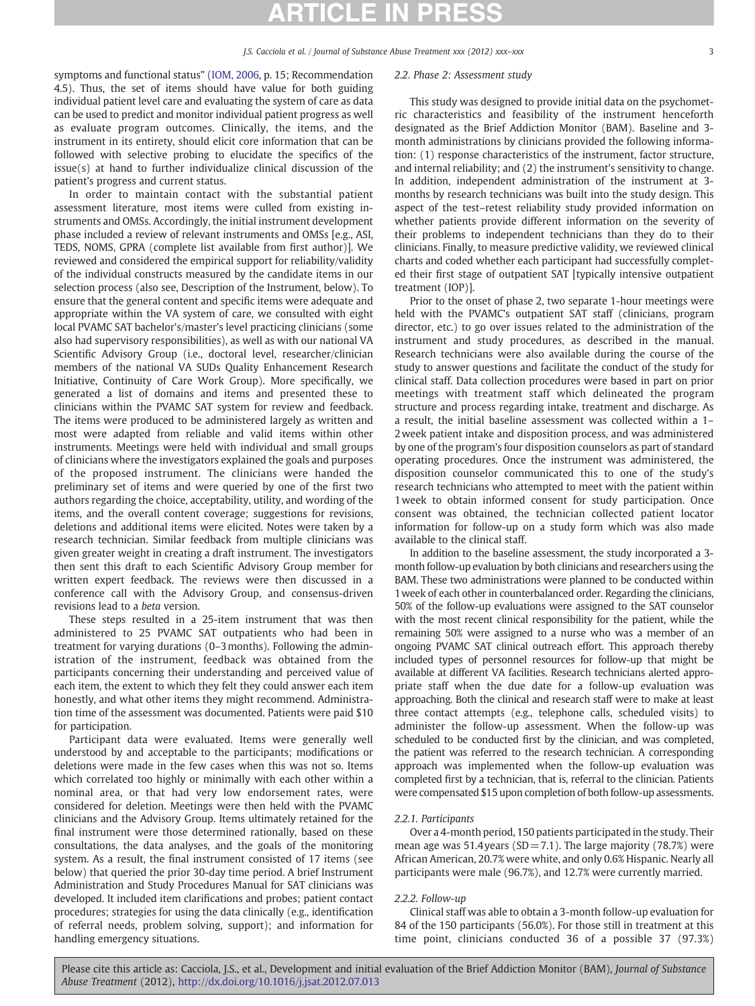### J.S. Cacciola et al. / Journal of Substance Abuse Treatment xxx (2012) xxx–xxx 3

symptoms and functional status" ([IOM, 2006,](#page-6-0) p. 15; Recommendation 4.5). Thus, the set of items should have value for both guiding individual patient level care and evaluating the system of care as data can be used to predict and monitor individual patient progress as well as evaluate program outcomes. Clinically, the items, and the instrument in its entirety, should elicit core information that can be followed with selective probing to elucidate the specifics of the issue(s) at hand to further individualize clinical discussion of the patient's progress and current status.

In order to maintain contact with the substantial patient assessment literature, most items were culled from existing instruments and OMSs. Accordingly, the initial instrument development phase included a review of relevant instruments and OMSs [e.g., ASI, TEDS, NOMS, GPRA (complete list available from first author)]. We reviewed and considered the empirical support for reliability/validity of the individual constructs measured by the candidate items in our selection process (also see, Description of the Instrument, below). To ensure that the general content and specific items were adequate and appropriate within the VA system of care, we consulted with eight local PVAMC SAT bachelor's/master's level practicing clinicians (some also had supervisory responsibilities), as well as with our national VA Scientific Advisory Group (i.e., doctoral level, researcher/clinician members of the national VA SUDs Quality Enhancement Research Initiative, Continuity of Care Work Group). More specifically, we generated a list of domains and items and presented these to clinicians within the PVAMC SAT system for review and feedback. The items were produced to be administered largely as written and most were adapted from reliable and valid items within other instruments. Meetings were held with individual and small groups of clinicians where the investigators explained the goals and purposes of the proposed instrument. The clinicians were handed the preliminary set of items and were queried by one of the first two authors regarding the choice, acceptability, utility, and wording of the items, and the overall content coverage; suggestions for revisions, deletions and additional items were elicited. Notes were taken by a research technician. Similar feedback from multiple clinicians was given greater weight in creating a draft instrument. The investigators then sent this draft to each Scientific Advisory Group member for written expert feedback. The reviews were then discussed in a conference call with the Advisory Group, and consensus-driven revisions lead to a beta version.

These steps resulted in a 25-item instrument that was then administered to 25 PVAMC SAT outpatients who had been in treatment for varying durations (0–3months). Following the administration of the instrument, feedback was obtained from the participants concerning their understanding and perceived value of each item, the extent to which they felt they could answer each item honestly, and what other items they might recommend. Administration time of the assessment was documented. Patients were paid \$10 for participation.

Participant data were evaluated. Items were generally well understood by and acceptable to the participants; modifications or deletions were made in the few cases when this was not so. Items which correlated too highly or minimally with each other within a nominal area, or that had very low endorsement rates, were considered for deletion. Meetings were then held with the PVAMC clinicians and the Advisory Group. Items ultimately retained for the final instrument were those determined rationally, based on these consultations, the data analyses, and the goals of the monitoring system. As a result, the final instrument consisted of 17 items (see below) that queried the prior 30-day time period. A brief Instrument Administration and Study Procedures Manual for SAT clinicians was developed. It included item clarifications and probes; patient contact procedures; strategies for using the data clinically (e.g., identification of referral needs, problem solving, support); and information for handling emergency situations.

### 2.2. Phase 2: Assessment study

This study was designed to provide initial data on the psychometric characteristics and feasibility of the instrument henceforth designated as the Brief Addiction Monitor (BAM). Baseline and 3 month administrations by clinicians provided the following information: (1) response characteristics of the instrument, factor structure, and internal reliability; and (2) the instrument's sensitivity to change. In addition, independent administration of the instrument at 3 months by research technicians was built into the study design. This aspect of the test–retest reliability study provided information on whether patients provide different information on the severity of their problems to independent technicians than they do to their clinicians. Finally, to measure predictive validity, we reviewed clinical charts and coded whether each participant had successfully completed their first stage of outpatient SAT [typically intensive outpatient treatment (IOP)].

Prior to the onset of phase 2, two separate 1-hour meetings were held with the PVAMC's outpatient SAT staff (clinicians, program director, etc.) to go over issues related to the administration of the instrument and study procedures, as described in the manual. Research technicians were also available during the course of the study to answer questions and facilitate the conduct of the study for clinical staff. Data collection procedures were based in part on prior meetings with treatment staff which delineated the program structure and process regarding intake, treatment and discharge. As a result, the initial baseline assessment was collected within a 1– 2week patient intake and disposition process, and was administered by one of the program's four disposition counselors as part of standard operating procedures. Once the instrument was administered, the disposition counselor communicated this to one of the study's research technicians who attempted to meet with the patient within 1week to obtain informed consent for study participation. Once consent was obtained, the technician collected patient locator information for follow-up on a study form which was also made available to the clinical staff.

In addition to the baseline assessment, the study incorporated a 3 month follow-up evaluation by both clinicians and researchers using the BAM. These two administrations were planned to be conducted within 1week of each other in counterbalanced order. Regarding the clinicians, 50% of the follow-up evaluations were assigned to the SAT counselor with the most recent clinical responsibility for the patient, while the remaining 50% were assigned to a nurse who was a member of an ongoing PVAMC SAT clinical outreach effort. This approach thereby included types of personnel resources for follow-up that might be available at different VA facilities. Research technicians alerted appropriate staff when the due date for a follow-up evaluation was approaching. Both the clinical and research staff were to make at least three contact attempts (e.g., telephone calls, scheduled visits) to administer the follow-up assessment. When the follow-up was scheduled to be conducted first by the clinician, and was completed, the patient was referred to the research technician. A corresponding approach was implemented when the follow-up evaluation was completed first by a technician, that is, referral to the clinician. Patients were compensated \$15 upon completion of both follow-up assessments.

### 2.2.1. Participants

Over a 4-month period, 150 patients participated in the study. Their mean age was 51.4 years ( $SD = 7.1$ ). The large majority (78.7%) were African American, 20.7% were white, and only 0.6% Hispanic. Nearly all participants were male (96.7%), and 12.7% were currently married.

### 2.2.2. Follow-up

Clinical staff was able to obtain a 3-month follow-up evaluation for 84 of the 150 participants (56.0%). For those still in treatment at this time point, clinicians conducted 36 of a possible 37 (97.3%)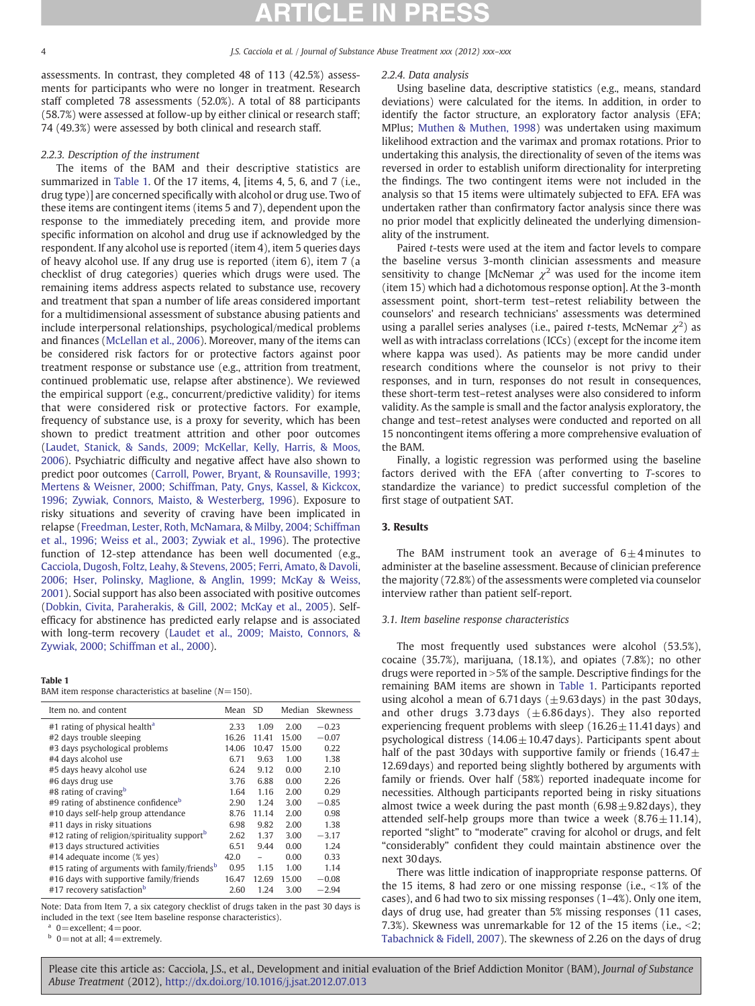assessments. In contrast, they completed 48 of 113 (42.5%) assessments for participants who were no longer in treatment. Research staff completed 78 assessments (52.0%). A total of 88 participants (58.7%) were assessed at follow-up by either clinical or research staff; 74 (49.3%) were assessed by both clinical and research staff.

### 2.2.3. Description of the instrument

The items of the BAM and their descriptive statistics are summarized in Table 1. Of the 17 items, 4, [items 4, 5, 6, and 7 (i.e., drug type)] are concerned specifically with alcohol or drug use. Two of these items are contingent items (items 5 and 7), dependent upon the response to the immediately preceding item, and provide more specific information on alcohol and drug use if acknowledged by the respondent. If any alcohol use is reported (item 4), item 5 queries days of heavy alcohol use. If any drug use is reported (item 6), item 7 (a checklist of drug categories) queries which drugs were used. The remaining items address aspects related to substance use, recovery and treatment that span a number of life areas considered important for a multidimensional assessment of substance abusing patients and include interpersonal relationships, psychological/medical problems and finances [\(McLellan et al., 2006](#page-7-0)). Moreover, many of the items can be considered risk factors for or protective factors against poor treatment response or substance use (e.g., attrition from treatment, continued problematic use, relapse after abstinence). We reviewed the empirical support (e.g., concurrent/predictive validity) for items that were considered risk or protective factors. For example, frequency of substance use, is a proxy for severity, which has been shown to predict treatment attrition and other poor outcomes ([Laudet, Stanick, & Sands, 2009; McKellar, Kelly, Harris, & Moos,](#page-6-0) [2006\)](#page-6-0). Psychiatric difficulty and negative affect have also shown to predict poor outcomes [\(Carroll, Power, Bryant, & Rounsaville, 1993;](#page-6-0) [Mertens & Weisner, 2000; Schiffman, Paty, Gnys, Kassel, & Kickcox,](#page-6-0) [1996; Zywiak, Connors, Maisto, & Westerberg, 1996\)](#page-6-0). Exposure to risky situations and severity of craving have been implicated in relapse ([Freedman, Lester, Roth, McNamara, & Milby, 2004; Schiffman](#page-6-0) [et al., 1996; Weiss et al., 2003; Zywiak et al., 1996\)](#page-6-0). The protective function of 12-step attendance has been well documented (e.g., [Cacciola, Dugosh, Foltz, Leahy, & Stevens, 2005; Ferri, Amato, & Davoli,](#page-6-0) [2006; Hser, Polinsky, Maglione, & Anglin, 1999; McKay & Weiss,](#page-6-0) [2001\)](#page-6-0). Social support has also been associated with positive outcomes ([Dobkin, Civita, Paraherakis, & Gill, 2002; McKay et al., 2005\)](#page-6-0). Selfefficacy for abstinence has predicted early relapse and is associated with long-term recovery [\(Laudet et al., 2009; Maisto, Connors, &](#page-6-0) [Zywiak, 2000; Schiffman et al., 2000](#page-6-0)).

### Table 1

BAM item response characteristics at baseline  $(N=150)$ .

| Item no. and content                                     |       | SD.   | Median | Skewness |  |
|----------------------------------------------------------|-------|-------|--------|----------|--|
| #1 rating of physical health <sup>a</sup>                | 2.33  | 1.09  | 2.00   | $-0.23$  |  |
| #2 days trouble sleeping                                 | 16.26 | 11.41 | 15.00  | $-0.07$  |  |
| #3 days psychological problems                           | 14.06 | 10.47 | 15.00  | 0.22     |  |
| #4 days alcohol use                                      | 6.71  | 9.63  | 1.00   | 1.38     |  |
| #5 days heavy alcohol use                                | 6.24  | 9.12  | 0.00   | 2.10     |  |
| #6 days drug use                                         | 3.76  | 6.88  | 0.00   | 2.26     |  |
| $#8$ rating of craving <sup>b</sup>                      | 1.64  | 1.16  | 2.00   | 0.29     |  |
| #9 rating of abstinence confidence <sup>b</sup>          | 2.90  | 1.24  | 3.00   | $-0.85$  |  |
| #10 days self-help group attendance                      | 8.76  | 11.14 | 2.00   | 0.98     |  |
| #11 days in risky situations                             | 6.98  | 9.82  | 2.00   | 1.38     |  |
| #12 rating of religion/spirituality support <sup>b</sup> | 2.62  | 1.37  | 3.00   | $-3.17$  |  |
| #13 days structured activities                           | 6.51  | 9.44  | 0.00   | 1.24     |  |
| #14 adequate income (% yes)                              | 42.0  |       | 0.00   | 0.33     |  |
| #15 rating of arguments with family/friends <sup>b</sup> | 0.95  | 1.15  | 1.00   | 1.14     |  |
| #16 days with supportive family/friends                  | 16.47 | 12.69 | 15.00  | $-0.08$  |  |
| #17 recovery satisfaction <sup>b</sup>                   | 2.60  | 1.24  | 3.00   | $-2.94$  |  |

Note: Data from Item 7, a six category checklist of drugs taken in the past 30 days is included in the text (see Item baseline response characteristics).

 $b$  0 = not at all; 4 = extremely.

### 2.2.4. Data analysis

Using baseline data, descriptive statistics (e.g., means, standard deviations) were calculated for the items. In addition, in order to identify the factor structure, an exploratory factor analysis (EFA; MPlus; [Muthen & Muthen, 1998\)](#page-7-0) was undertaken using maximum likelihood extraction and the varimax and promax rotations. Prior to undertaking this analysis, the directionality of seven of the items was reversed in order to establish uniform directionality for interpreting the findings. The two contingent items were not included in the analysis so that 15 items were ultimately subjected to EFA. EFA was undertaken rather than confirmatory factor analysis since there was no prior model that explicitly delineated the underlying dimensionality of the instrument.

Paired t-tests were used at the item and factor levels to compare the baseline versus 3-month clinician assessments and measure sensitivity to change [McNemar  $\chi^2$  was used for the income item (item 15) which had a dichotomous response option]. At the 3-month assessment point, short-term test–retest reliability between the counselors' and research technicians' assessments was determined using a parallel series analyses (i.e., paired t-tests, McNemar  $\chi^2$ ) as well as with intraclass correlations (ICCs) (except for the income item where kappa was used). As patients may be more candid under research conditions where the counselor is not privy to their responses, and in turn, responses do not result in consequences, these short-term test–retest analyses were also considered to inform validity. As the sample is small and the factor analysis exploratory, the change and test–retest analyses were conducted and reported on all 15 noncontingent items offering a more comprehensive evaluation of the BAM.

Finally, a logistic regression was performed using the baseline factors derived with the EFA (after converting to T-scores to standardize the variance) to predict successful completion of the first stage of outpatient SAT.

### 3. Results

The BAM instrument took an average of  $6\pm4$ minutes to administer at the baseline assessment. Because of clinician preference the majority (72.8%) of the assessments were completed via counselor interview rather than patient self-report.

### 3.1. Item baseline response characteristics

The most frequently used substances were alcohol (53.5%), cocaine (35.7%), marijuana, (18.1%), and opiates (7.8%); no other drugs were reported in  $>5\%$  of the sample. Descriptive findings for the remaining BAM items are shown in Table 1. Participants reported using alcohol a mean of 6.71 days ( $\pm$ 9.63 days) in the past 30 days, and other drugs 3.73 days  $(\pm 6.86 \text{ days})$ . They also reported experiencing frequent problems with sleep ( $16.26 \pm 11.41$  days) and psychological distress  $(14.06 \pm 10.47 \text{ days})$ . Participants spent about half of the past 30 days with supportive family or friends (16.47 $\pm$ 12.69days) and reported being slightly bothered by arguments with family or friends. Over half (58%) reported inadequate income for necessities. Although participants reported being in risky situations almost twice a week during the past month  $(6.98 \pm 9.82 \text{ days})$ , they attended self-help groups more than twice a week  $(8.76 \pm 11.14)$ , reported "slight" to "moderate" craving for alcohol or drugs, and felt "considerably" confident they could maintain abstinence over the next 30days.

There was little indication of inappropriate response patterns. Of the 15 items, 8 had zero or one missing response (i.e.,  $<1\%$  of the cases), and 6 had two to six missing responses (1–4%). Only one item, days of drug use, had greater than 5% missing responses (11 cases, 7.3%). Skewness was unremarkable for 12 of the 15 items (i.e.,  $\leq$ 2; [Tabachnick & Fidell, 2007](#page-7-0)). The skewness of 2.26 on the days of drug

 $a = 0$  = excellent; 4 = poor.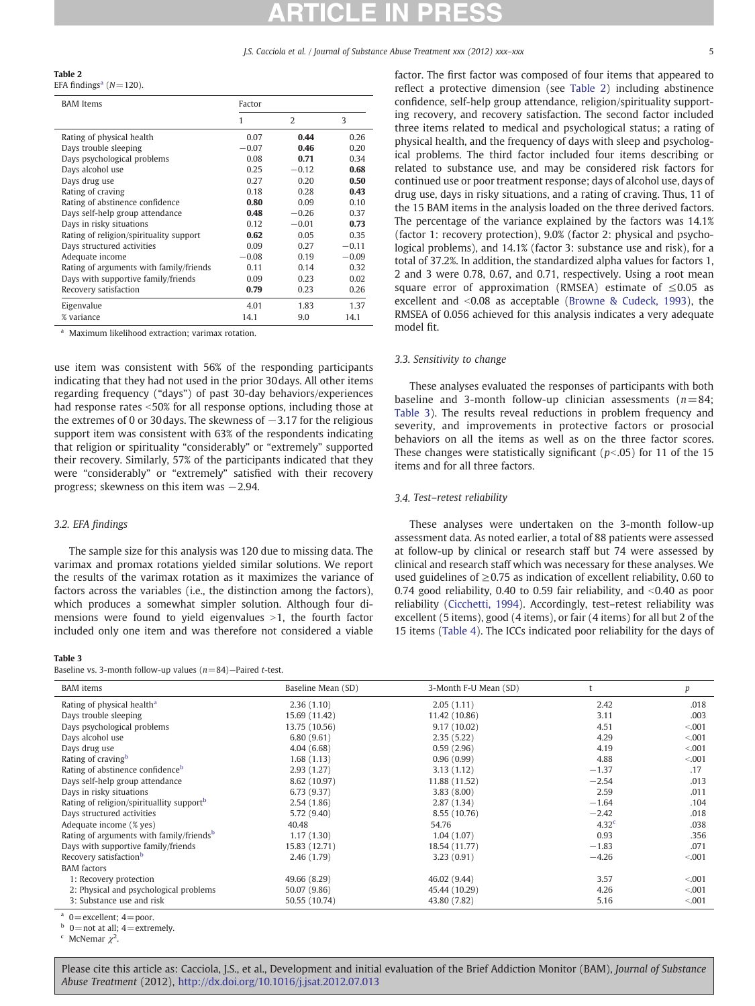### J.S. Cacciola et al. / Journal of Substance Abuse Treatment xxx (2012) xxx–xxx 5

### Table 2

EFA findings<sup>a</sup> ( $N=120$ ).

| <b>BAM</b> Items                        | Factor  |         |         |  |
|-----------------------------------------|---------|---------|---------|--|
|                                         | 1       | 2       | 3       |  |
| Rating of physical health               | 0.07    | 0.44    | 0.26    |  |
| Days trouble sleeping                   | $-0.07$ | 0.46    | 0.20    |  |
| Days psychological problems             | 0.08    | 0.71    | 0.34    |  |
| Days alcohol use                        | 0.25    | $-0.12$ | 0.68    |  |
| Days drug use                           | 0.27    | 0.20    | 0.50    |  |
| Rating of craving                       | 0.18    | 0.28    | 0.43    |  |
| Rating of abstinence confidence         | 0.80    | 0.09    | 0.10    |  |
| Days self-help group attendance         | 0.48    | $-0.26$ | 0.37    |  |
| Days in risky situations                | 0.12    | $-0.01$ | 0.73    |  |
| Rating of religion/spirituality support | 0.62    | 0.05    | 0.35    |  |
| Days structured activities              | 0.09    | 0.27    | $-0.11$ |  |
| Adequate income                         | $-0.08$ | 0.19    | $-0.09$ |  |
| Rating of arguments with family/friends | 0.11    | 0.14    | 0.32    |  |
| Days with supportive family/friends     | 0.09    | 0.23    | 0.02    |  |
| Recovery satisfaction                   | 0.79    | 0.23    | 0.26    |  |
| Eigenvalue                              | 4.01    | 1.83    | 1.37    |  |
| % variance                              | 14.1    | 9.0     | 14.1    |  |

<sup>a</sup> Maximum likelihood extraction; varimax rotation.

use item was consistent with 56% of the responding participants indicating that they had not used in the prior 30days. All other items regarding frequency ("days") of past 30-day behaviors/experiences had response rates <50% for all response options, including those at the extremes of 0 or 30 days. The skewness of  $-3.17$  for the religious support item was consistent with 63% of the respondents indicating that religion or spirituality "considerably" or "extremely" supported their recovery. Similarly, 57% of the participants indicated that they were "considerably" or "extremely" satisfied with their recovery progress; skewness on this item was −2.94.

### 3.2. EFA findings

The sample size for this analysis was 120 due to missing data. The varimax and promax rotations yielded similar solutions. We report the results of the varimax rotation as it maximizes the variance of factors across the variables (i.e., the distinction among the factors), which produces a somewhat simpler solution. Although four dimensions were found to yield eigenvalues  $>1$ , the fourth factor included only one item and was therefore not considered a viable

### Table 3

Baseline vs. 3-month follow-up values  $(n=84)$ -Paired t-test.

factor. The first factor was composed of four items that appeared to reflect a protective dimension (see Table 2) including abstinence confidence, self-help group attendance, religion/spirituality supporting recovery, and recovery satisfaction. The second factor included three items related to medical and psychological status; a rating of physical health, and the frequency of days with sleep and psychological problems. The third factor included four items describing or related to substance use, and may be considered risk factors for continued use or poor treatment response; days of alcohol use, days of drug use, days in risky situations, and a rating of craving. Thus, 11 of the 15 BAM items in the analysis loaded on the three derived factors. The percentage of the variance explained by the factors was 14.1% (factor 1: recovery protection), 9.0% (factor 2: physical and psychological problems), and 14.1% (factor 3: substance use and risk), for a total of 37.2%. In addition, the standardized alpha values for factors 1, 2 and 3 were 0.78, 0.67, and 0.71, respectively. Using a root mean square error of approximation (RMSEA) estimate of  $\leq 0.05$  as excellent and  $<$ 0.08 as acceptable ([Browne & Cudeck, 1993](#page-6-0)), the RMSEA of 0.056 achieved for this analysis indicates a very adequate model fit.

### 3.3. Sensitivity to change

These analyses evaluated the responses of participants with both baseline and 3-month follow-up clinician assessments  $(n=84;$ Table 3). The results reveal reductions in problem frequency and severity, and improvements in protective factors or prosocial behaviors on all the items as well as on the three factor scores. These changes were statistically significant ( $p$ <.05) for 11 of the 15 items and for all three factors.

### 3.4. Test–retest reliability

These analyses were undertaken on the 3-month follow-up assessment data. As noted earlier, a total of 88 patients were assessed at follow-up by clinical or research staff but 74 were assessed by clinical and research staff which was necessary for these analyses. We used guidelines of  $\geq$ 0.75 as indication of excellent reliability, 0.60 to 0.74 good reliability, 0.40 to 0.59 fair reliability, and  $\leq$ 0.40 as poor reliability ([Cicchetti, 1994](#page-6-0)). Accordingly, test–retest reliability was excellent (5 items), good (4 items), or fair (4 items) for all but 2 of the 15 items [\(Table 4\)](#page-5-0). The ICCs indicated poor reliability for the days of

| <b>BAM</b> items                                      | Baseline Mean (SD) | 3-Month F-U Mean (SD) |                   | p       |
|-------------------------------------------------------|--------------------|-----------------------|-------------------|---------|
| Rating of physical health <sup>a</sup>                | 2.36(1.10)         | 2.05(1.11)            | 2.42              | .018    |
| Days trouble sleeping                                 | 15.69 (11.42)      | 11.42 (10.86)         | 3.11              | .003    |
| Days psychological problems                           | 13.75 (10.56)      | 9.17(10.02)           | 4.51              | < 0.001 |
| Days alcohol use                                      | 6.80(9.61)         | 2.35(5.22)            | 4.29              | < 0.001 |
| Days drug use                                         | 4.04(6.68)         | 0.59(2.96)            | 4.19              | < 0.001 |
| Rating of craving <sup>b</sup>                        | 1.68(1.13)         | 0.96(0.99)            | 4.88              | < 0.001 |
| Rating of abstinence confidence <sup>b</sup>          | 2.93(1.27)         | 3.13(1.12)            | $-1.37$           | .17     |
| Days self-help group attendance                       | 8.62 (10.97)       | 11.88 (11.52)         | $-2.54$           | .013    |
| Days in risky situations                              | 6.73(9.37)         | 3.83(8.00)            | 2.59              | .011    |
| Rating of religion/spirituallity support <sup>b</sup> | 2.54(1.86)         | 2.87(1.34)            | $-1.64$           | .104    |
| Days structured activities                            | 5.72(9.40)         | 8.55 (10.76)          | $-2.42$           | .018    |
| Adequate income (% yes)                               | 40.48              | 54.76                 | 4.32 <sup>c</sup> | .038    |
| Rating of arguments with family/friends <sup>b</sup>  | 1.17(1.30)         | 1.04(1.07)            | 0.93              | .356    |
| Days with supportive family/friends                   | 15.83 (12.71)      | 18.54 (11.77)         | $-1.83$           | .071    |
| Recovery satisfaction <sup>b</sup>                    | 2.46(1.79)         | 3.23(0.91)            | $-4.26$           | < 0.001 |
| <b>BAM</b> factors                                    |                    |                       |                   |         |
| 1: Recovery protection                                | 49.66 (8.29)       | 46.02 (9.44)          | 3.57              | < 0.001 |
| 2: Physical and psychological problems                | 50.07 (9.86)       | 45.44 (10.29)         | 4.26              | < 0.001 |
| 3: Substance use and risk                             | 50.55 (10.74)      | 43.80 (7.82)          | 5.16              | < 0.001 |

 $0$  = excellent;  $4$  = poor.

 $b$  0 = not at all; 4 = extremely.

<sup>c</sup> McNemar  $\chi^2$ .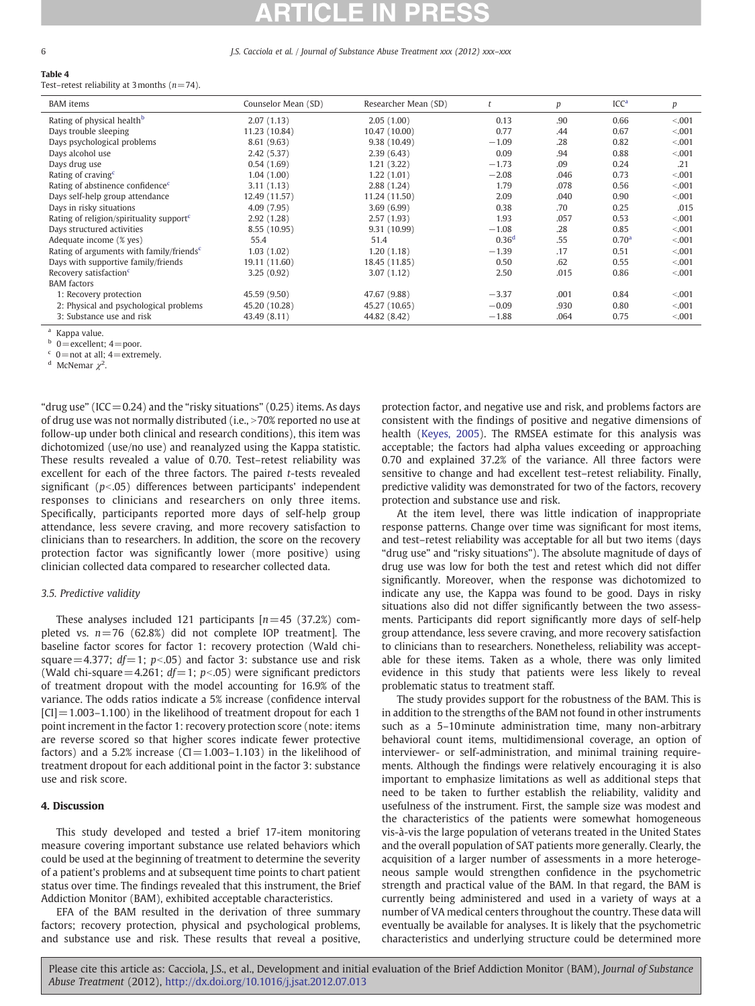### <span id="page-5-0"></span>6 J.S. Cacciola et al. / Journal of Substance Abuse Treatment xxx (2012) xxx–xxx

Table 4

### Test-retest reliability at 3 months  $(n=74)$ .

| <b>BAM</b> items                                     | Counselor Mean (SD) | Researcher Mean (SD) |                   | p    | ICC <sup>a</sup>  | $\boldsymbol{p}$ |
|------------------------------------------------------|---------------------|----------------------|-------------------|------|-------------------|------------------|
| Rating of physical health <sup>b</sup>               | 2.07(1.13)          | 2.05(1.00)           | 0.13              | .90  | 0.66              | < 0.01           |
| Days trouble sleeping                                | 11.23 (10.84)       | 10.47 (10.00)        | 0.77              | .44  | 0.67              | < 0.001          |
| Days psychological problems                          | 8.61(9.63)          | 9.38(10.49)          | $-1.09$           | .28  | 0.82              | < 0.001          |
| Days alcohol use                                     | 2.42(5.37)          | 2.39(6.43)           | 0.09              | .94  | 0.88              | < 0.001          |
| Days drug use                                        | 0.54(1.69)          | 1.21(3.22)           | $-1.73$           | .09  | 0.24              | .21              |
| Rating of craving <sup>c</sup>                       | 1.04(1.00)          | 1.22(1.01)           | $-2.08$           | .046 | 0.73              | < 0.001          |
| Rating of abstinence confidence <sup>c</sup>         | 3.11(1.13)          | 2.88(1.24)           | 1.79              | .078 | 0.56              | < 0.001          |
| Days self-help group attendance                      | 12.49 (11.57)       | 11.24 (11.50)        | 2.09              | .040 | 0.90              | < 0.001          |
| Days in risky situations                             | 4.09(7.95)          | 3.69(6.99)           | 0.38              | .70  | 0.25              | .015             |
| Rating of religion/spirituality support <sup>c</sup> | 2.92(1.28)          | 2.57(1.93)           | 1.93              | .057 | 0.53              | < 0.001          |
| Days structured activities                           | 8.55 (10.95)        | 9.31(10.99)          | $-1.08$           | .28  | 0.85              | < 0.001          |
| Adequate income (% yes)                              | 55.4                | 51.4                 | 0.36 <sup>d</sup> | .55  | 0.70 <sup>a</sup> | < 0.01           |
| Rating of arguments with family/friends <sup>c</sup> | 1.03(1.02)          | 1.20(1.18)           | $-1.39$           | .17  | 0.51              | < 0.001          |
| Days with supportive family/friends                  | 19.11 (11.60)       | 18.45 (11.85)        | 0.50              | .62  | 0.55              | < 0.001          |
| Recovery satisfaction <sup>c</sup>                   | 3.25(0.92)          | 3.07(1.12)           | 2.50              | .015 | 0.86              | < 0.001          |
| <b>BAM</b> factors                                   |                     |                      |                   |      |                   |                  |
| 1: Recovery protection                               | 45.59 (9.50)        | 47.67 (9.88)         | $-3.37$           | .001 | 0.84              | < 0.001          |
| 2: Physical and psychological problems               | 45.20 (10.28)       | 45.27 (10.65)        | $-0.09$           | .930 | 0.80              | < 0.001          |
| 3: Substance use and risk                            | 43.49 (8.11)        | 44.82 (8.42)         | $-1.88$           | .064 | 0.75              | < 0.001          |

 $\sum_{h=0}^{a}$  Kappa value.

 $0 =$ excellent:  $4 =$ poor.

 $0$  = not at all;  $4$  = extremely.

<sup>d</sup> McNemar  $\chi^2$ .

"drug use" (ICC =  $0.24$ ) and the "risky situations" (0.25) items. As days of drug use was not normally distributed (i.e., >70% reported no use at follow-up under both clinical and research conditions), this item was dichotomized (use/no use) and reanalyzed using the Kappa statistic. These results revealed a value of 0.70. Test–retest reliability was excellent for each of the three factors. The paired t-tests revealed significant ( $p$ <.05) differences between participants' independent responses to clinicians and researchers on only three items. Specifically, participants reported more days of self-help group attendance, less severe craving, and more recovery satisfaction to clinicians than to researchers. In addition, the score on the recovery protection factor was significantly lower (more positive) using clinician collected data compared to researcher collected data.

### 3.5. Predictive validity

These analyses included 121 participants  $[n=45 (37.2%)$  completed vs.  $n=76$  (62.8%) did not complete IOP treatment]. The baseline factor scores for factor 1: recovery protection (Wald chisquare = 4.377;  $df=1$ ;  $p<0.05$ ) and factor 3: substance use and risk (Wald chi-square = 4.261;  $df=1$ ;  $p<0.05$ ) were significant predictors of treatment dropout with the model accounting for 16.9% of the variance. The odds ratios indicate a 5% increase (confidence interval  $[C1] = 1.003 - 1.100$ ) in the likelihood of treatment dropout for each 1 point increment in the factor 1: recovery protection score (note: items are reverse scored so that higher scores indicate fewer protective factors) and a 5.2% increase ( $CI = 1.003-1.103$ ) in the likelihood of treatment dropout for each additional point in the factor 3: substance use and risk score.

### 4. Discussion

This study developed and tested a brief 17-item monitoring measure covering important substance use related behaviors which could be used at the beginning of treatment to determine the severity of a patient's problems and at subsequent time points to chart patient status over time. The findings revealed that this instrument, the Brief Addiction Monitor (BAM), exhibited acceptable characteristics.

EFA of the BAM resulted in the derivation of three summary factors; recovery protection, physical and psychological problems, and substance use and risk. These results that reveal a positive,

protection factor, and negative use and risk, and problems factors are consistent with the findings of positive and negative dimensions of health [\(Keyes, 2005](#page-6-0)). The RMSEA estimate for this analysis was acceptable; the factors had alpha values exceeding or approaching 0.70 and explained 37.2% of the variance. All three factors were sensitive to change and had excellent test–retest reliability. Finally, predictive validity was demonstrated for two of the factors, recovery protection and substance use and risk.

At the item level, there was little indication of inappropriate response patterns. Change over time was significant for most items, and test–retest reliability was acceptable for all but two items (days "drug use" and "risky situations"). The absolute magnitude of days of drug use was low for both the test and retest which did not differ significantly. Moreover, when the response was dichotomized to indicate any use, the Kappa was found to be good. Days in risky situations also did not differ significantly between the two assessments. Participants did report significantly more days of self-help group attendance, less severe craving, and more recovery satisfaction to clinicians than to researchers. Nonetheless, reliability was acceptable for these items. Taken as a whole, there was only limited evidence in this study that patients were less likely to reveal problematic status to treatment staff.

The study provides support for the robustness of the BAM. This is in addition to the strengths of the BAM not found in other instruments such as a 5–10minute administration time, many non-arbitrary behavioral count items, multidimensional coverage, an option of interviewer- or self-administration, and minimal training requirements. Although the findings were relatively encouraging it is also important to emphasize limitations as well as additional steps that need to be taken to further establish the reliability, validity and usefulness of the instrument. First, the sample size was modest and the characteristics of the patients were somewhat homogeneous vis-à-vis the large population of veterans treated in the United States and the overall population of SAT patients more generally. Clearly, the acquisition of a larger number of assessments in a more heterogeneous sample would strengthen confidence in the psychometric strength and practical value of the BAM. In that regard, the BAM is currently being administered and used in a variety of ways at a number of VA medical centers throughout the country. These data will eventually be available for analyses. It is likely that the psychometric characteristics and underlying structure could be determined more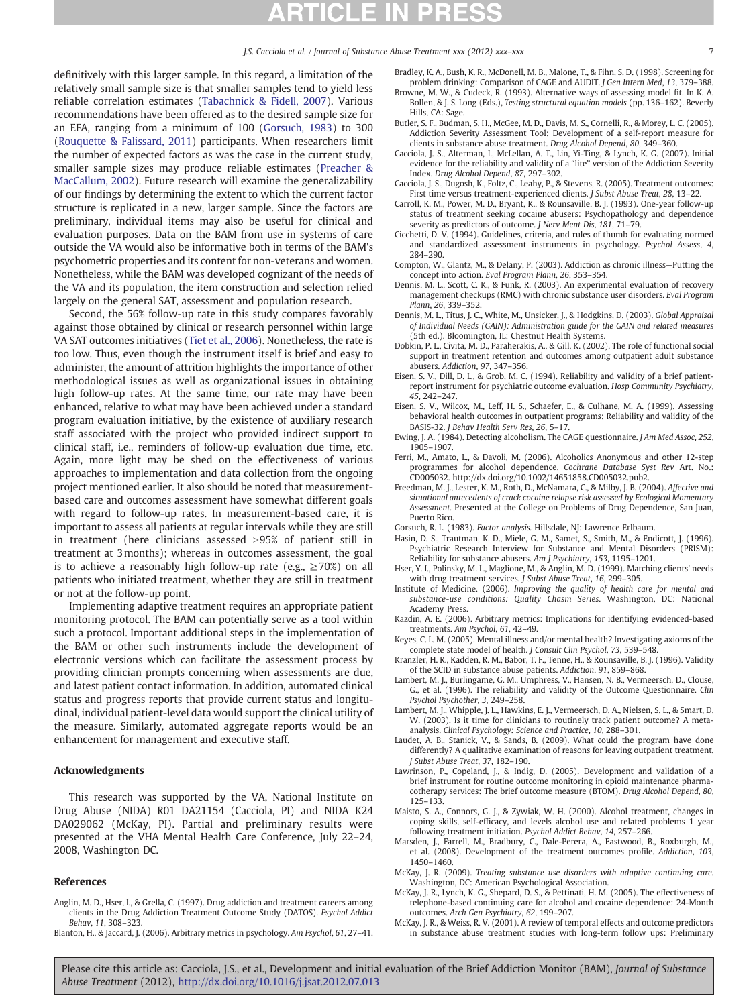# TICLE IN

J.S. Cacciola et al. / Journal of Substance Abuse Treatment xxx (2012) xxx–xxx 7

<span id="page-6-0"></span>definitively with this larger sample. In this regard, a limitation of the relatively small sample size is that smaller samples tend to yield less reliable correlation estimates [\(Tabachnick & Fidell, 2007\)](#page-7-0). Various recommendations have been offered as to the desired sample size for an EFA, ranging from a minimum of 100 (Gorsuch, 1983) to 300 [\(Rouquette & Falissard, 2011\)](#page-7-0) participants. When researchers limit the number of expected factors as was the case in the current study, smaller sample sizes may produce reliable estimates [\(Preacher &](#page-7-0) [MacCallum, 2002\)](#page-7-0). Future research will examine the generalizability of our findings by determining the extent to which the current factor structure is replicated in a new, larger sample. Since the factors are preliminary, individual items may also be useful for clinical and evaluation purposes. Data on the BAM from use in systems of care outside the VA would also be informative both in terms of the BAM's psychometric properties and its content for non-veterans and women. Nonetheless, while the BAM was developed cognizant of the needs of the VA and its population, the item construction and selection relied largely on the general SAT, assessment and population research.

Second, the 56% follow-up rate in this study compares favorably against those obtained by clinical or research personnel within large VA SAT outcomes initiatives [\(Tiet et al., 2006\)](#page-7-0). Nonetheless, the rate is too low. Thus, even though the instrument itself is brief and easy to administer, the amount of attrition highlights the importance of other methodological issues as well as organizational issues in obtaining high follow-up rates. At the same time, our rate may have been enhanced, relative to what may have been achieved under a standard program evaluation initiative, by the existence of auxiliary research staff associated with the project who provided indirect support to clinical staff, i.e., reminders of follow-up evaluation due time, etc. Again, more light may be shed on the effectiveness of various approaches to implementation and data collection from the ongoing project mentioned earlier. It also should be noted that measurementbased care and outcomes assessment have somewhat different goals with regard to follow-up rates. In measurement-based care, it is important to assess all patients at regular intervals while they are still in treatment (here clinicians assessed  $>95%$  of patient still in treatment at 3months); whereas in outcomes assessment, the goal is to achieve a reasonably high follow-up rate (e.g.,  $\geq 70\%$ ) on all patients who initiated treatment, whether they are still in treatment or not at the follow-up point.

Implementing adaptive treatment requires an appropriate patient monitoring protocol. The BAM can potentially serve as a tool within such a protocol. Important additional steps in the implementation of the BAM or other such instruments include the development of electronic versions which can facilitate the assessment process by providing clinician prompts concerning when assessments are due, and latest patient contact information. In addition, automated clinical status and progress reports that provide current status and longitudinal, individual patient-level data would support the clinical utility of the measure. Similarly, automated aggregate reports would be an enhancement for management and executive staff.

### Acknowledgments

This research was supported by the VA, National Institute on Drug Abuse (NIDA) R01 DA21154 (Cacciola, PI) and NIDA K24 DA029062 (McKay, PI). Partial and preliminary results were presented at the VHA Mental Health Care Conference, July 22–24, 2008, Washington DC.

### References

- Anglin, M. D., Hser, I., & Grella, C. (1997). Drug addiction and treatment careers among clients in the Drug Addiction Treatment Outcome Study (DATOS). Psychol Addict Behav, 11, 308–323.
- Blanton, H., & Jaccard, J. (2006). Arbitrary metrics in psychology. Am Psychol, 61, 27–41.

Bradley, K. A., Bush, K. R., McDonell, M. B., Malone, T., & Fihn, S. D. (1998). Screening for problem drinking: Comparison of CAGE and AUDIT. J Gen Intern Med, 13, 379–388.

- Browne, M. W., & Cudeck, R. (1993). Alternative ways of assessing model fit. In K. A. Bollen, & J. S. Long (Eds.), Testing structural equation models (pp. 136–162). Beverly Hills, CA: Sage.
- Butler, S. F., Budman, S. H., McGee, M. D., Davis, M. S., Cornelli, R., & Morey, L. C. (2005). Addiction Severity Assessment Tool: Development of a self-report measure for clients in substance abuse treatment. Drug Alcohol Depend, 80, 349–360.
- Cacciola, J. S., Alterman, I., McLellan, A. T., Lin, Yi-Ting, & Lynch, K. G. (2007). Initial evidence for the reliability and validity of a "lite" version of the Addiction Severity Index. Drug Alcohol Depend, 87, 297–302.
- Cacciola, J. S., Dugosh, K., Foltz, C., Leahy, P., & Stevens, R. (2005). Treatment outcomes: First time versus treatment-experienced clients. J Subst Abuse Treat, 28, 13–22.
- Carroll, K. M., Power, M. D., Bryant, K., & Rounsaville, B. J. (1993). One-year follow-up status of treatment seeking cocaine abusers: Psychopathology and dependence severity as predictors of outcome. J Nerv Ment Dis, 181, 71–79.
- Cicchetti, D. V. (1994). Guidelines, criteria, and rules of thumb for evaluating normed and standardized assessment instruments in psychology. Psychol Assess, 4, 284–290.
- Compton, W., Glantz, M., & Delany, P. (2003). Addiction as chronic illness—Putting the concept into action. Eval Program Plann, 26, 353–354.
- Dennis, M. L., Scott, C. K., & Funk, R. (2003). An experimental evaluation of recovery management checkups (RMC) with chronic substance user disorders. Eval Program Plann, 26, 339–352.
- Dennis, M. L., Titus, J. C., White, M., Unsicker, J., & Hodgkins, D. (2003). Global Appraisal of Individual Needs (GAIN): Administration guide for the GAIN and related measures (5th ed.). Bloomington, IL: Chestnut Health Systems.
- Dobkin, P. L., Civita, M. D., Paraherakis, A., & Gill, K. (2002). The role of functional social support in treatment retention and outcomes among outpatient adult substance abusers. Addiction, 97, 347–356.
- Eisen, S. V., Dill, D. L., & Grob, M. C. (1994). Reliability and validity of a brief patientreport instrument for psychiatric outcome evaluation. Hosp Community Psychiatry, 45, 242–247.
- Eisen, S. V., Wilcox, M., Leff, H. S., Schaefer, E., & Culhane, M. A. (1999). Assessing behavioral health outcomes in outpatient programs: Reliability and validity of the BASIS-32. J Behav Health Serv Res, 26, 5–17.
- Ewing, J. A. (1984). Detecting alcoholism. The CAGE questionnaire. J Am Med Assoc, 252, 1905–1907.
- Ferri, M., Amato, L., & Davoli, M. (2006). Alcoholics Anonymous and other 12-step programmes for alcohol dependence. Cochrane Database Syst Rev Art. No.: CD005032. http://dx.doi.org/10.1002/14651858.CD005032.pub2.
- Freedman, M. J., Lester, K. M., Roth, D., McNamara, C., & Milby, J. B. (2004). Affective and situational antecedents of crack cocaine relapse risk assessed by Ecological Momentary Assessment. Presented at the College on Problems of Drug Dependence, San Juan, Puerto Rico.
- Gorsuch, R. L. (1983). Factor analysis. Hillsdale, NJ: Lawrence Erlbaum.
- Hasin, D. S., Trautman, K. D., Miele, G. M., Samet, S., Smith, M., & Endicott, J. (1996). Psychiatric Research Interview for Substance and Mental Disorders (PRISM): Reliability for substance abusers. Am J Psychiatry, 153, 1195–1201.
- Hser, Y. I., Polinsky, M. L., Maglione, M., & Anglin, M. D. (1999). Matching clients' needs with drug treatment services. J Subst Abuse Treat, 16, 299–305.
- Institute of Medicine. (2006). Improving the quality of health care for mental and substance-use conditions: Quality Chasm Series. Washington, DC: National Academy Press.
- Kazdin, A. E. (2006). Arbitrary metrics: Implications for identifying evidenced-based treatments. Am Psychol, 61, 42–49.
- Keyes, C. L. M. (2005). Mental illness and/or mental health? Investigating axioms of the complete state model of health. J Consult Clin Psychol, 73, 539–548.
- Kranzler, H. R., Kadden, R. M., Babor, T. F., Tenne, H., & Rounsaville, B. J. (1996). Validity of the SCID in substance abuse patients. Addiction, 91, 859–868.
- Lambert, M. J., Burlingame, G. M., Umphress, V., Hansen, N. B., Vermeersch, D., Clouse, G., et al. (1996). The reliability and validity of the Outcome Questionnaire. Clin Psychol Psychother, 3, 249–258.
- Lambert, M. J., Whipple, J. L., Hawkins, E. J., Vermeersch, D. A., Nielsen, S. L., & Smart, D. W. (2003). Is it time for clinicians to routinely track patient outcome? A metaanalysis. Clinical Psychology: Science and Practice, 10, 288–301.
- Laudet, A. B., Stanick, V., & Sands, B. (2009). What could the program have done differently? A qualitative examination of reasons for leaving outpatient treatment. J Subst Abuse Treat, 37, 182–190.
- Lawrinson, P., Copeland, J., & Indig, D. (2005). Development and validation of a brief instrument for routine outcome monitoring in opioid maintenance pharmacotherapy services: The brief outcome measure (BTOM). Drug Alcohol Depend, 80, 125–133.
- Maisto, S. A., Connors, G. J., & Zywiak, W. H. (2000). Alcohol treatment, changes in coping skills, self-efficacy, and levels alcohol use and related problems 1 year following treatment initiation. Psychol Addict Behav, 14, 257–266.
- Marsden, J., Farrell, M., Bradbury, C., Dale-Perera, A., Eastwood, B., Roxburgh, M., et al. (2008). Development of the treatment outcomes profile. Addiction, 103, 1450–1460.
- McKay, J. R. (2009). Treating substance use disorders with adaptive continuing care. Washington, DC: American Psychological Association.
- McKay, J. R., Lynch, K. G., Shepard, D. S., & Pettinati, H. M. (2005). The effectiveness of telephone-based continuing care for alcohol and cocaine dependence: 24-Month outcomes. Arch Gen Psychiatry, 62, 199–207.
- McKay, J. R., & Weiss, R. V. (2001). A review of temporal effects and outcome predictors in substance abuse treatment studies with long-term follow ups: Preliminary